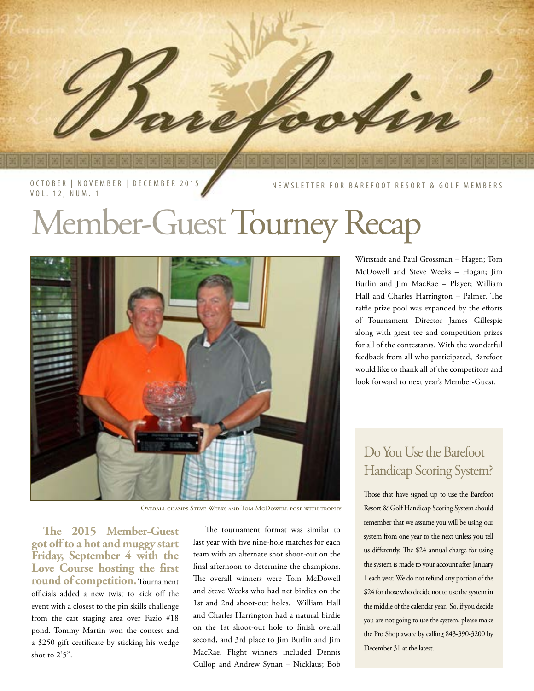

NEWSLETTER FOR BAREFOOT RESORT & GOLF MEMBERS

# Member-Guest Tourney Recap



Overall champs Steve Weeks and Tom McDowell pose with trophy

**The 2015 Member-Guest got off to a hot and muggy start Friday, September 4 with the Love Course hosting the first round of competition.** Tournament officials added a new twist to kick off the event with a closest to the pin skills challenge from the cart staging area over Fazio #18 pond. Tommy Martin won the contest and a \$250 gift certificate by sticking his wedge shot to 2'5".

The tournament format was similar to last year with five nine-hole matches for each team with an alternate shot shoot-out on the final afternoon to determine the champions. The overall winners were Tom McDowell and Steve Weeks who had net birdies on the 1st and 2nd shoot-out holes. William Hall and Charles Harrington had a natural birdie on the 1st shoot-out hole to finish overall second, and 3rd place to Jim Burlin and Jim MacRae. Flight winners included Dennis Cullop and Andrew Synan – Nicklaus; Bob

Wittstadt and Paul Grossman – Hagen; Tom McDowell and Steve Weeks – Hogan; Jim Burlin and Jim MacRae – Player; William Hall and Charles Harrington – Palmer. The raffle prize pool was expanded by the efforts of Tournament Director James Gillespie along with great tee and competition prizes for all of the contestants. With the wonderful feedback from all who participated, Barefoot would like to thank all of the competitors and look forward to next year's Member-Guest.

## Do You Use the Barefoot Handicap Scoring System?

Those that have signed up to use the Barefoot Resort & Golf Handicap Scoring System should remember that we assume you will be using our system from one year to the next unless you tell us differently. The \$24 annual charge for using the system is made to your account after January 1 each year. We do not refund any portion of the \$24 for those who decide not to use the system in the middle of the calendar year. So, if you decide you are not going to use the system, please make the Pro Shop aware by calling 843-390-3200 by December 31 at the latest.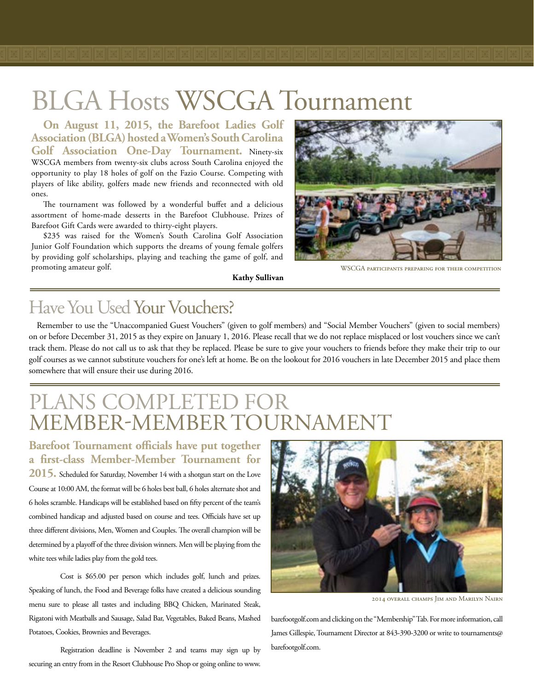## BLGA Hosts WSCGA Tournament

**On August 11, 2015, the Barefoot Ladies Golf Association (BLGA) hosted a Women's South Carolina Golf Association One-Day Tournament.** Ninety-six WSCGA members from twenty-six clubs across South Carolina enjoyed the opportunity to play 18 holes of golf on the Fazio Course. Competing with players of like ability, golfers made new friends and reconnected with old ones.

The tournament was followed by a wonderful buffet and a delicious assortment of home-made desserts in the Barefoot Clubhouse. Prizes of Barefoot Gift Cards were awarded to thirty-eight players.

\$235 was raised for the Women's South Carolina Golf Association Junior Golf Foundation which supports the dreams of young female golfers by providing golf scholarships, playing and teaching the game of golf, and promoting amateur golf.



WSCGA participants preparing for their competition

## Have You Used Your Vouchers?

Remember to use the "Unaccompanied Guest Vouchers" (given to golf members) and "Social Member Vouchers" (given to social members) on or before December 31, 2015 as they expire on January 1, 2016. Please recall that we do not replace misplaced or lost vouchers since we can't track them. Please do not call us to ask that they be replaced. Please be sure to give your vouchers to friends before they make their trip to our golf courses as we cannot substitute vouchers for one's left at home. Be on the lookout for 2016 vouchers in late December 2015 and place them somewhere that will ensure their use during 2016.

**Kathy Sullivan**

## PLANS COMPLETED FO MEMBER-MEMBER TOURNAMENT

**Barefoot Tournament officials have put together a first-class Member-Member Tournament for 2015.** Scheduled for Saturday, November 14 with a shotgun start on the Love Course at 10:00 AM, the format will be 6 holes best ball, 6 holes alternate shot and 6 holes scramble. Handicaps will be established based on fifty percent of the team's combined handicap and adjusted based on course and tees. Officials have set up three different divisions, Men, Women and Couples. The overall champion will be determined by a playoff of the three division winners. Men will be playing from the white tees while ladies play from the gold tees.

Cost is \$65.00 per person which includes golf, lunch and prizes. Speaking of lunch, the Food and Beverage folks have created a delicious sounding menu sure to please all tastes and including BBQ Chicken, Marinated Steak, Rigatoni with Meatballs and Sausage, Salad Bar, Vegetables, Baked Beans, Mashed Potatoes, Cookies, Brownies and Beverages.

Registration deadline is November 2 and teams may sign up by securing an entry from in the Resort Clubhouse Pro Shop or going online to www.



2014 overall champs Jim and Marilyn Nairn

barefootgolf.com and clicking on the "Membership" Tab. For more information, call James Gillespie, Tournament Director at 843-390-3200 or write to tournaments@ barefootgolf.com.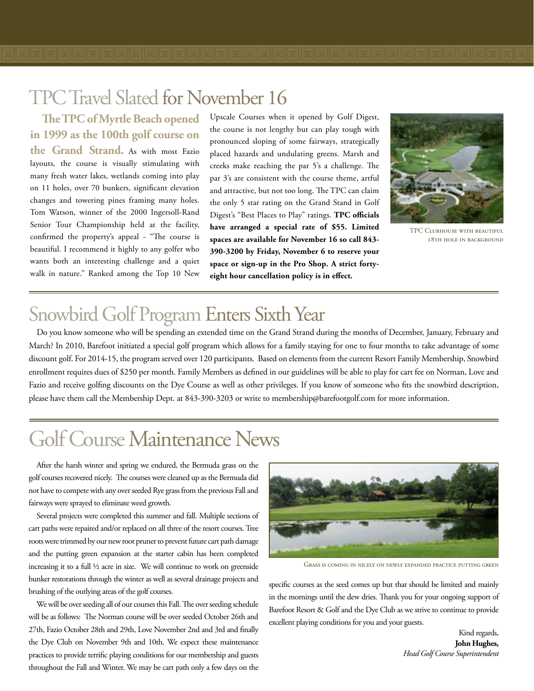## TPC Travel Slated for November 16

**The TPC of Myrtle Beach opened in 1999 as the 100th golf course on the Grand Strand.** As with most Fazio layouts, the course is visually stimulating with many fresh water lakes, wetlands coming into play on 11 holes, over 70 bunkers, significant elevation changes and towering pines framing many holes. Tom Watson, winner of the 2000 Ingersoll-Rand Senior Tour Championship held at the facility, confirmed the property's appeal - "The course is beautiful. I recommend it highly to any golfer who wants both an interesting challenge and a quiet walk in nature." Ranked among the Top 10 New

Upscale Courses when it opened by Golf Digest, the course is not lengthy but can play tough with pronounced sloping of some fairways, strategically placed hazards and undulating greens. Marsh and creeks make reaching the par 5's a challenge. The par 3's are consistent with the course theme, artful and attractive, but not too long. The TPC can claim the only 5 star rating on the Grand Stand in Golf Digest's "Best Places to Play" ratings. **TPC officials have arranged a special rate of \$55. Limited spaces are available for November 16 so call 843- 390-3200 by Friday, November 6 to reserve your space or sign-up in the Pro Shop. A strict fortyeight hour cancellation policy is in effect.**



TPC Clubhouse with beautiful 18TH HOLE IN BACKGROUND

## Snowbird Golf Program Enters Sixth Year

Do you know someone who will be spending an extended time on the Grand Strand during the months of December, January, February and March? In 2010, Barefoot initiated a special golf program which allows for a family staying for one to four months to take advantage of some discount golf. For 2014-15, the program served over 120 participants. Based on elements from the current Resort Family Membership, Snowbird enrollment requires dues of \$250 per month. Family Members as defined in our guidelines will be able to play for cart fee on Norman, Love and Fazio and receive golfing discounts on the Dye Course as well as other privileges. If you know of someone who fits the snowbird description, please have them call the Membership Dept. at 843-390-3203 or write to membership@barefootgolf.com for more information.

## Golf Course Maintenance News

After the harsh winter and spring we endured, the Bermuda grass on the golf courses recovered nicely. The courses were cleaned up as the Bermuda did not have to compete with any over seeded Rye grass from the previous Fall and fairways were sprayed to eliminate weed growth.

Several projects were completed this summer and fall. Multiple sections of cart paths were repaired and/or replaced on all three of the resort courses. Tree roots were trimmed by our new root pruner to prevent future cart path damage and the putting green expansion at the starter cabin has been completed increasing it to a full ½ acre in size. We will continue to work on greenside bunker restorations through the winter as well as several drainage projects and brushing of the outlying areas of the golf courses.

We will be over seeding all of our courses this Fall. The over seeding schedule will be as follows: The Norman course will be over seeded October 26th and 27th, Fazio October 28th and 29th, Love November 2nd and 3rd and finally the Dye Club on November 9th and 10th. We expect these maintenance practices to provide terrific playing conditions for our membership and guests throughout the Fall and Winter. We may be cart path only a few days on the



Grass is coming in nicely on newly expanded practice putting green

specific courses as the seed comes up but that should be limited and mainly in the mornings until the dew dries. Thank you for your ongoing support of Barefoot Resort & Golf and the Dye Club as we strive to continue to provide excellent playing conditions for you and your guests.

> Kind regards, **John Hughes,** *Head Golf Course Superintendent*